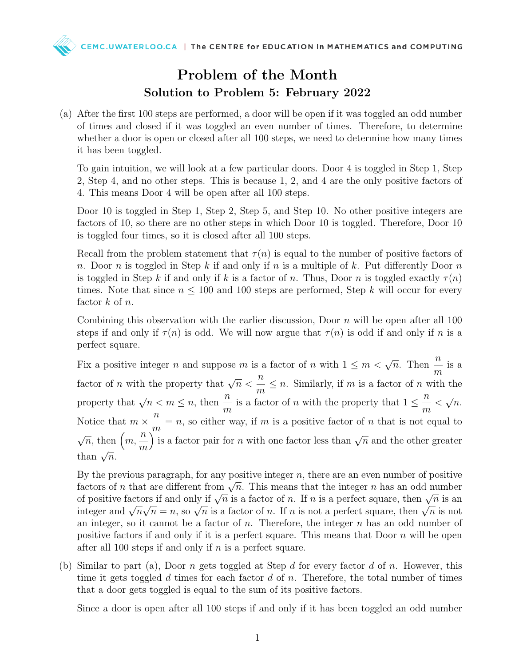## Problem of the Month Solution to Problem 5: February 2022

(a) After the first 100 steps are performed, a door will be open if it was toggled an odd number of times and closed if it was toggled an even number of times. Therefore, to determine whether a door is open or closed after all 100 steps, we need to determine how many times it has been toggled.

To gain intuition, we will look at a few particular doors. Door 4 is toggled in Step 1, Step 2, Step 4, and no other steps. This is because 1, 2, and 4 are the only positive factors of 4. This means Door 4 will be open after all 100 steps.

Door 10 is toggled in Step 1, Step 2, Step 5, and Step 10. No other positive integers are factors of 10, so there are no other steps in which Door 10 is toggled. Therefore, Door 10 is toggled four times, so it is closed after all 100 steps.

Recall from the problem statement that  $\tau(n)$  is equal to the number of positive factors of n. Door n is toggled in Step k if and only if n is a multiple of k. Put differently Door n is toggled in Step k if and only if k is a factor of n. Thus, Door n is toggled exactly  $\tau(n)$ times. Note that since  $n \leq 100$  and 100 steps are performed, Step k will occur for every factor  $k$  of  $n$ .

Combining this observation with the earlier discussion, Door  $n$  will be open after all 100 steps if and only if  $\tau(n)$  is odd. We will now argue that  $\tau(n)$  is odd if and only if n is a perfect square.

Fix a positive integer n and suppose m is a factor of n with  $1 \leq m < \sqrt{n}$ . Then  $\frac{n}{n}$ m is a factor of *n* with the property that  $\sqrt{n}$ n m  $\leq n$ . Similarly, if m is a factor of n with the property that  $\sqrt{n} < m \leq n$ , then  $\frac{n}{n}$ m is a factor of *n* with the property that  $1 \leq \frac{n}{n}$ m  $\lt$ √  $\overline{n}$ . Notice that  $m \times \frac{n}{n}$ m  $=n$ , so either way, if m is a positive factor of n that is not equal to  $\sqrt{n}$ , then  $(m,$ n m is a factor pair for n with one factor less than  $\sqrt{n}$  and the other greater than  $\sqrt{n}$ .

By the previous paragraph, for any positive integer  $n$ , there are an even number of positive By the previous paragraph, for any positive integer  $n$ , there are an even number of positive factors of n that are different from  $\sqrt{n}$ . This means that the integer n has an odd number factors of *n* that are different from  $\sqrt{n}$ . This means that the integer *n* has an odd humber<br>of positive factors if and only if  $\sqrt{n}$  is a factor of *n*. If *n* is a perfect square, then  $\sqrt{n}$  is an or positive factors if and only if  $\sqrt{n}$  is a factor of *n*. If *n* is a perfect square, then  $\sqrt{n}$  is an integer and  $\sqrt{n}\sqrt{n} = n$ , so  $\sqrt{n}$  is a factor of *n*. If *n* is not a perfect square, then  $\sqrt{n}$  is not an integer, so it cannot be a factor of  $n$ . Therefore, the integer  $n$  has an odd number of positive factors if and only if it is a perfect square. This means that Door  $n$  will be open after all 100 steps if and only if  $n$  is a perfect square.

(b) Similar to part (a), Door n gets toggled at Step d for every factor d of n. However, this time it gets toggled d times for each factor d of n. Therefore, the total number of times that a door gets toggled is equal to the sum of its positive factors.

Since a door is open after all 100 steps if and only if it has been toggled an odd number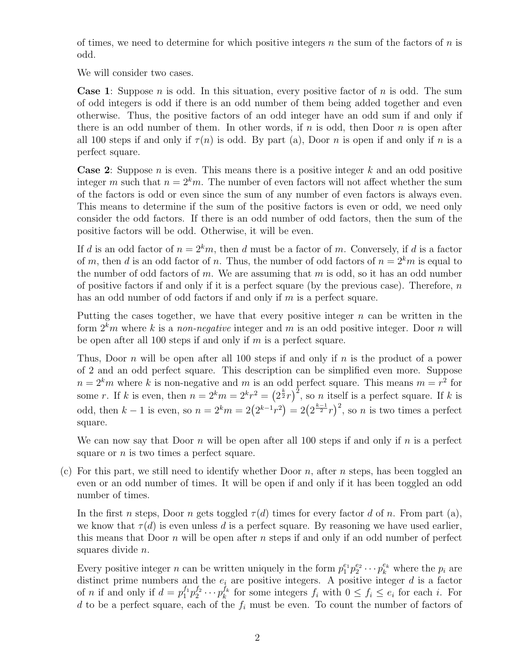of times, we need to determine for which positive integers n the sum of the factors of n is odd.

We will consider two cases.

**Case 1:** Suppose n is odd. In this situation, every positive factor of n is odd. The sum of odd integers is odd if there is an odd number of them being added together and even otherwise. Thus, the positive factors of an odd integer have an odd sum if and only if there is an odd number of them. In other words, if  $n$  is odd, then Door  $n$  is open after all 100 steps if and only if  $\tau(n)$  is odd. By part (a), Door n is open if and only if n is a perfect square.

**Case 2:** Suppose n is even. This means there is a positive integer k and an odd positive integer m such that  $n = 2<sup>k</sup>m$ . The number of even factors will not affect whether the sum of the factors is odd or even since the sum of any number of even factors is always even. This means to determine if the sum of the positive factors is even or odd, we need only consider the odd factors. If there is an odd number of odd factors, then the sum of the positive factors will be odd. Otherwise, it will be even.

If d is an odd factor of  $n = 2<sup>k</sup>m$ , then d must be a factor of m. Conversely, if d is a factor of m, then d is an odd factor of n. Thus, the number of odd factors of  $n = 2<sup>k</sup>m$  is equal to the number of odd factors of  $m$ . We are assuming that  $m$  is odd, so it has an odd number of positive factors if and only if it is a perfect square (by the previous case). Therefore,  $n$ has an odd number of odd factors if and only if  $m$  is a perfect square.

Putting the cases together, we have that every positive integer  $n$  can be written in the form  $2<sup>k</sup>m$  where k is a non-negative integer and m is an odd positive integer. Door n will be open after all 100 steps if and only if  $m$  is a perfect square.

Thus, Door n will be open after all 100 steps if and only if n is the product of a power of 2 and an odd perfect square. This description can be simplified even more. Suppose  $n = 2<sup>k</sup>m$  where k is non-negative and m is an odd perfect square. This means  $m = r<sup>2</sup>$  for some r. If k is even, then  $n = 2^k m = 2^{k} r^2 = (2^{\frac{k}{2}} r)^2$ , so n itself is a perfect square. If k is odd, then  $k-1$  is even, so  $n = 2^k m = 2(2^{k-1}r^2) = 2(2^{\frac{k-1}{2}}r)^2$ , so n is two times a perfect square.

We can now say that Door n will be open after all 100 steps if and only if n is a perfect square or  $n$  is two times a perfect square.

(c) For this part, we still need to identify whether Door n, after n steps, has been toggled an even or an odd number of times. It will be open if and only if it has been toggled an odd number of times.

In the first n steps, Door n gets toggled  $\tau(d)$  times for every factor d of n. From part (a), we know that  $\tau(d)$  is even unless d is a perfect square. By reasoning we have used earlier, this means that Door  $n$  will be open after  $n$  steps if and only if an odd number of perfect squares divide n.

Every positive integer *n* can be written uniquely in the form  $p_1^{e_1} p_2^{e_2} \cdots p_k^{e_k}$  where the  $p_i$  are distinct prime numbers and the  $e_i$  are positive integers. A positive integer  $d$  is a factor of *n* if and only if  $d = p_1^{f_1} p_2^{f_2} \cdots p_k^{f_k}$  $\frac{f_k}{k}$  for some integers  $f_i$  with  $0 \leq f_i \leq e_i$  for each i. For d to be a perfect square, each of the  $f_i$  must be even. To count the number of factors of